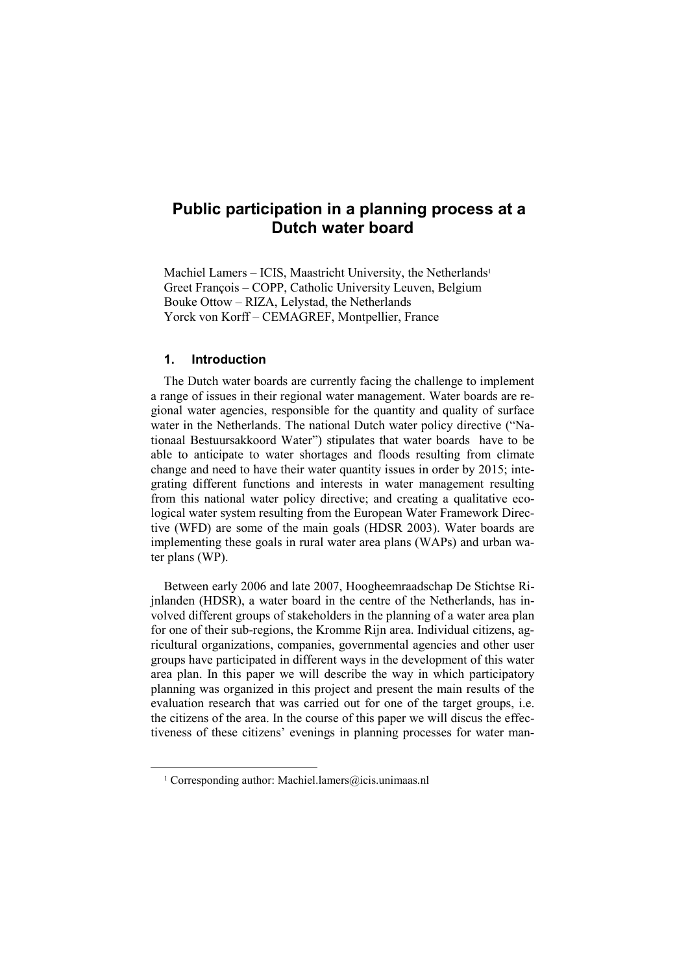# Public participation in a planning process at a Dutch water board

Machiel Lamers – ICIS, Maastricht University, the Netherlands<sup>1</sup> Greet François – COPP, Catholic University Leuven, Belgium Bouke Ottow – RIZA, Lelystad, the Netherlands Yorck von Korff – CEMAGREF, Montpellier, France

### 1. Introduction

 $\overline{a}$ 

The Dutch water boards are currently facing the challenge to implement a range of issues in their regional water management. Water boards are regional water agencies, responsible for the quantity and quality of surface water in the Netherlands. The national Dutch water policy directive ("Nationaal Bestuursakkoord Water") stipulates that water boards have to be able to anticipate to water shortages and floods resulting from climate change and need to have their water quantity issues in order by 2015; integrating different functions and interests in water management resulting from this national water policy directive; and creating a qualitative ecological water system resulting from the European Water Framework Directive (WFD) are some of the main goals (HDSR 2003). Water boards are implementing these goals in rural water area plans (WAPs) and urban water plans (WP).

Between early 2006 and late 2007, Hoogheemraadschap De Stichtse Rijnlanden (HDSR), a water board in the centre of the Netherlands, has involved different groups of stakeholders in the planning of a water area plan for one of their sub-regions, the Kromme Rijn area. Individual citizens, agricultural organizations, companies, governmental agencies and other user groups have participated in different ways in the development of this water area plan. In this paper we will describe the way in which participatory planning was organized in this project and present the main results of the evaluation research that was carried out for one of the target groups, i.e. the citizens of the area. In the course of this paper we will discus the effectiveness of these citizens' evenings in planning processes for water man-

<sup>&</sup>lt;sup>1</sup> Corresponding author: Machiel.lamers@icis.unimaas.nl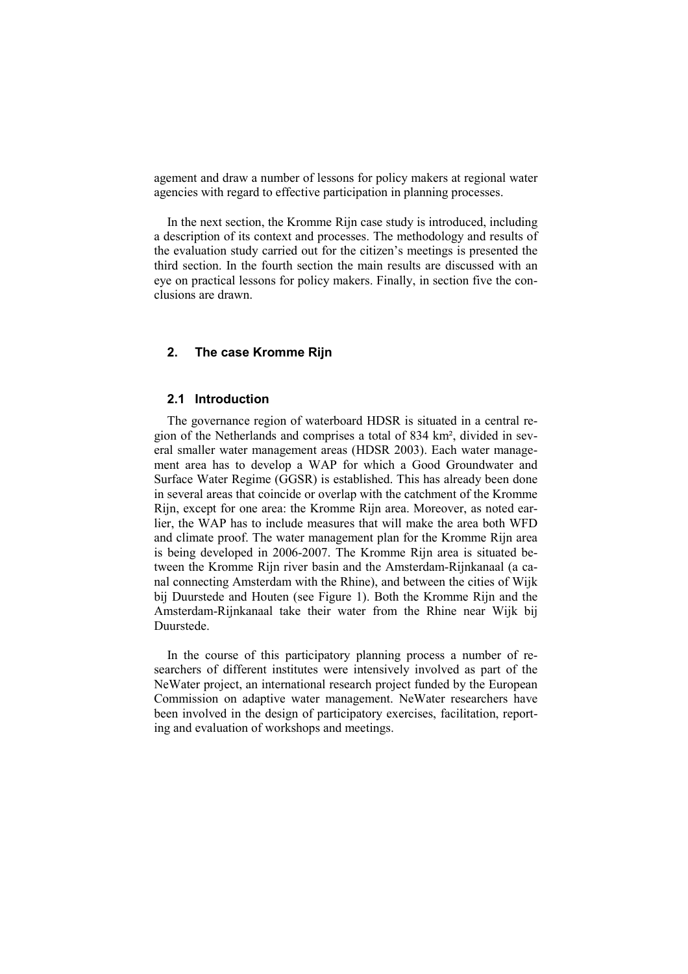agement and draw a number of lessons for policy makers at regional water agencies with regard to effective participation in planning processes.

In the next section, the Kromme Rijn case study is introduced, including a description of its context and processes. The methodology and results of the evaluation study carried out for the citizen's meetings is presented the third section. In the fourth section the main results are discussed with an eye on practical lessons for policy makers. Finally, in section five the conclusions are drawn.

# 2. The case Kromme Rijn

### 2.1 Introduction

The governance region of waterboard HDSR is situated in a central region of the Netherlands and comprises a total of 834 km², divided in several smaller water management areas (HDSR 2003). Each water management area has to develop a WAP for which a Good Groundwater and Surface Water Regime (GGSR) is established. This has already been done in several areas that coincide or overlap with the catchment of the Kromme Rijn, except for one area: the Kromme Rijn area. Moreover, as noted earlier, the WAP has to include measures that will make the area both WFD and climate proof. The water management plan for the Kromme Rijn area is being developed in 2006-2007. The Kromme Rijn area is situated between the Kromme Rijn river basin and the Amsterdam-Rijnkanaal (a canal connecting Amsterdam with the Rhine), and between the cities of Wijk bij Duurstede and Houten (see Figure 1). Both the Kromme Rijn and the Amsterdam-Rijnkanaal take their water from the Rhine near Wijk bij Duurstede.

In the course of this participatory planning process a number of researchers of different institutes were intensively involved as part of the NeWater project, an international research project funded by the European Commission on adaptive water management. NeWater researchers have been involved in the design of participatory exercises, facilitation, reporting and evaluation of workshops and meetings.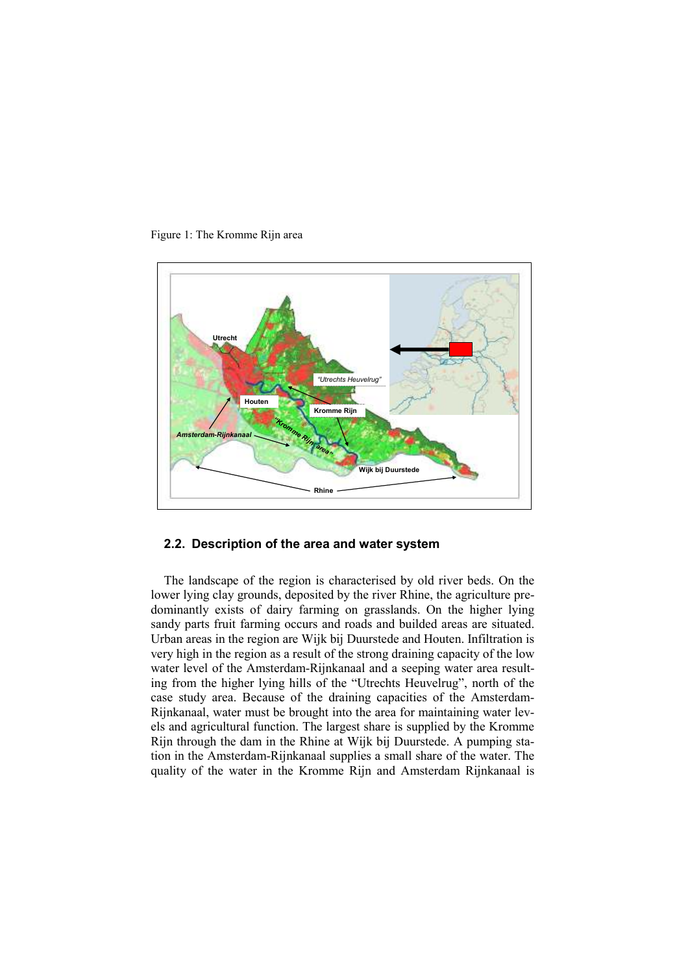



### 2.2. Description of the area and water system

The landscape of the region is characterised by old river beds. On the lower lying clay grounds, deposited by the river Rhine, the agriculture predominantly exists of dairy farming on grasslands. On the higher lying sandy parts fruit farming occurs and roads and builded areas are situated. Urban areas in the region are Wijk bij Duurstede and Houten. Infiltration is very high in the region as a result of the strong draining capacity of the low water level of the Amsterdam-Rijnkanaal and a seeping water area resulting from the higher lying hills of the "Utrechts Heuvelrug", north of the case study area. Because of the draining capacities of the Amsterdam-Rijnkanaal, water must be brought into the area for maintaining water levels and agricultural function. The largest share is supplied by the Kromme Rijn through the dam in the Rhine at Wijk bij Duurstede. A pumping station in the Amsterdam-Rijnkanaal supplies a small share of the water. The quality of the water in the Kromme Rijn and Amsterdam Rijnkanaal is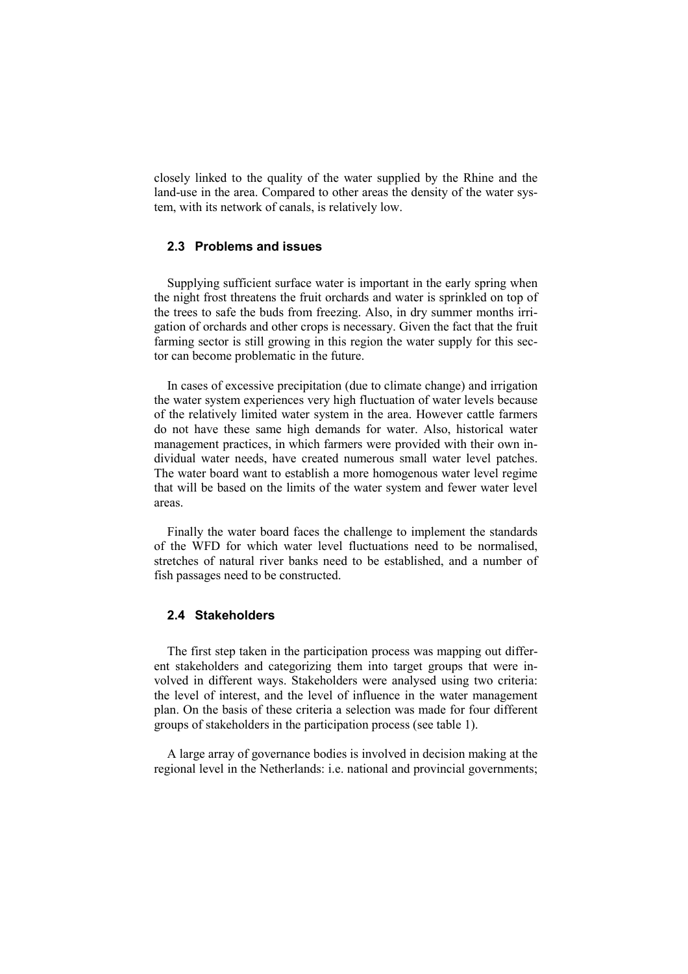closely linked to the quality of the water supplied by the Rhine and the land-use in the area. Compared to other areas the density of the water system, with its network of canals, is relatively low.

### 2.3 Problems and issues

Supplying sufficient surface water is important in the early spring when the night frost threatens the fruit orchards and water is sprinkled on top of the trees to safe the buds from freezing. Also, in dry summer months irrigation of orchards and other crops is necessary. Given the fact that the fruit farming sector is still growing in this region the water supply for this sector can become problematic in the future.

In cases of excessive precipitation (due to climate change) and irrigation the water system experiences very high fluctuation of water levels because of the relatively limited water system in the area. However cattle farmers do not have these same high demands for water. Also, historical water management practices, in which farmers were provided with their own individual water needs, have created numerous small water level patches. The water board want to establish a more homogenous water level regime that will be based on the limits of the water system and fewer water level areas.

Finally the water board faces the challenge to implement the standards of the WFD for which water level fluctuations need to be normalised, stretches of natural river banks need to be established, and a number of fish passages need to be constructed.

### 2.4 Stakeholders

The first step taken in the participation process was mapping out different stakeholders and categorizing them into target groups that were involved in different ways. Stakeholders were analysed using two criteria: the level of interest, and the level of influence in the water management plan. On the basis of these criteria a selection was made for four different groups of stakeholders in the participation process (see table 1).

A large array of governance bodies is involved in decision making at the regional level in the Netherlands: i.e. national and provincial governments;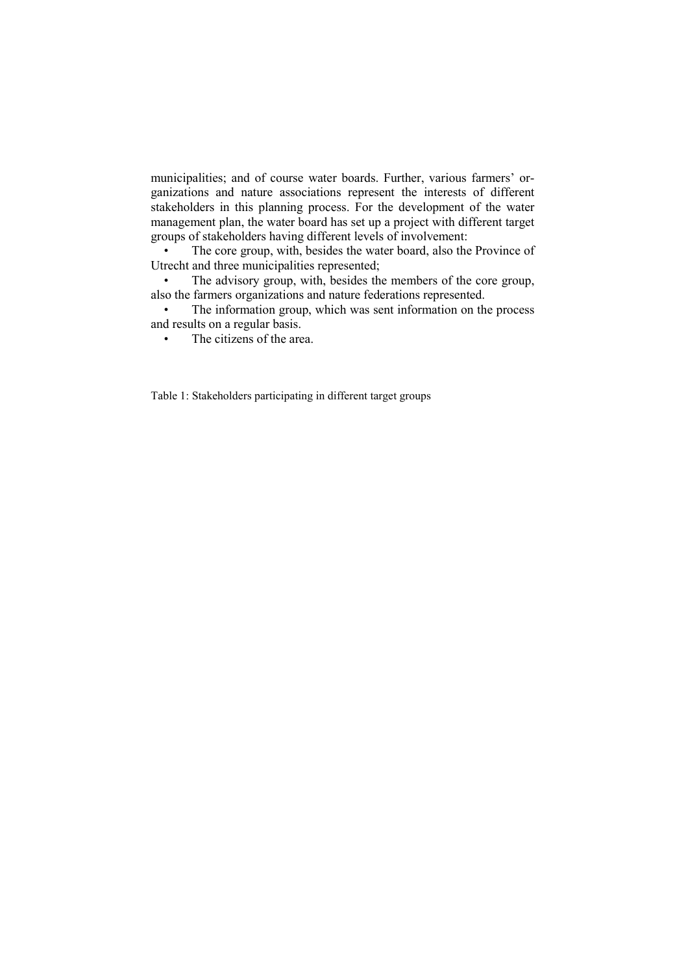municipalities; and of course water boards. Further, various farmers' organizations and nature associations represent the interests of different stakeholders in this planning process. For the development of the water management plan, the water board has set up a project with different target groups of stakeholders having different levels of involvement:

The core group, with, besides the water board, also the Province of Utrecht and three municipalities represented;

• The advisory group, with, besides the members of the core group, also the farmers organizations and nature federations represented.

The information group, which was sent information on the process and results on a regular basis.

• The citizens of the area.

Table 1: Stakeholders participating in different target groups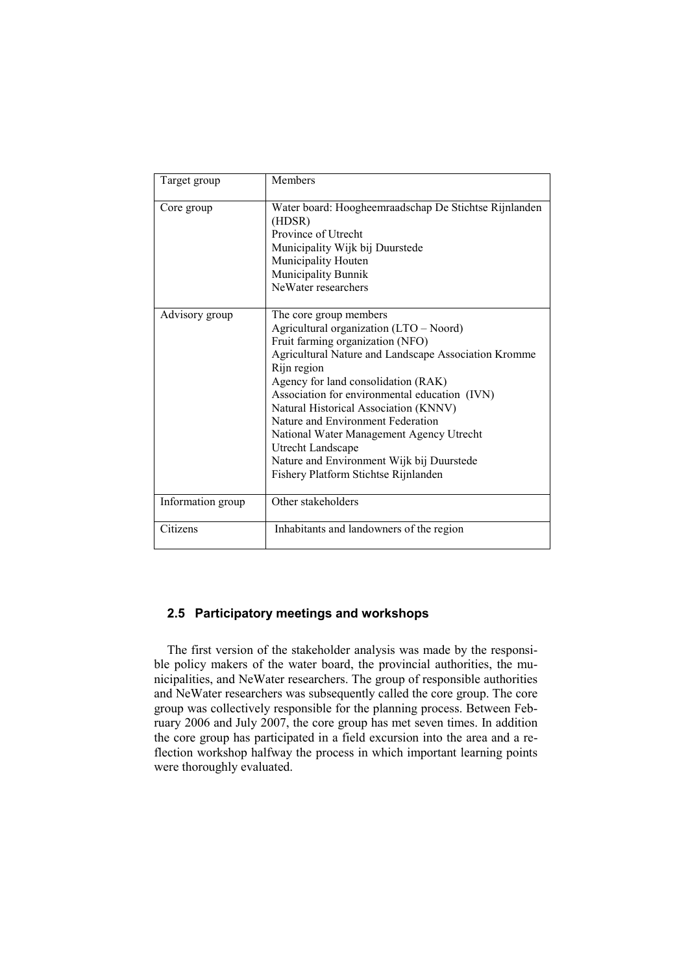| Target group      | <b>Members</b>                                                                                                                                                                                                                                                                                                                                                                                                                                                                                           |
|-------------------|----------------------------------------------------------------------------------------------------------------------------------------------------------------------------------------------------------------------------------------------------------------------------------------------------------------------------------------------------------------------------------------------------------------------------------------------------------------------------------------------------------|
| Core group        | Water board: Hoogheemraadschap De Stichtse Rijnlanden<br>(HDSR)<br>Province of Utrecht<br>Municipality Wijk bij Duurstede<br>Municipality Houten<br>Municipality Bunnik<br>NeWater researchers                                                                                                                                                                                                                                                                                                           |
| Advisory group    | The core group members<br>Agricultural organization (LTO - Noord)<br>Fruit farming organization (NFO)<br>Agricultural Nature and Landscape Association Kromme<br>Rijn region<br>Agency for land consolidation (RAK)<br>Association for environmental education (IVN)<br>Natural Historical Association (KNNV)<br>Nature and Environment Federation<br>National Water Management Agency Utrecht<br>Utrecht Landscape<br>Nature and Environment Wijk bij Duurstede<br>Fishery Platform Stichtse Rijnlanden |
| Information group | Other stakeholders                                                                                                                                                                                                                                                                                                                                                                                                                                                                                       |
| Citizens          | Inhabitants and landowners of the region                                                                                                                                                                                                                                                                                                                                                                                                                                                                 |

# 2.5 Participatory meetings and workshops

The first version of the stakeholder analysis was made by the responsible policy makers of the water board, the provincial authorities, the municipalities, and NeWater researchers. The group of responsible authorities and NeWater researchers was subsequently called the core group. The core group was collectively responsible for the planning process. Between February 2006 and July 2007, the core group has met seven times. In addition the core group has participated in a field excursion into the area and a reflection workshop halfway the process in which important learning points were thoroughly evaluated.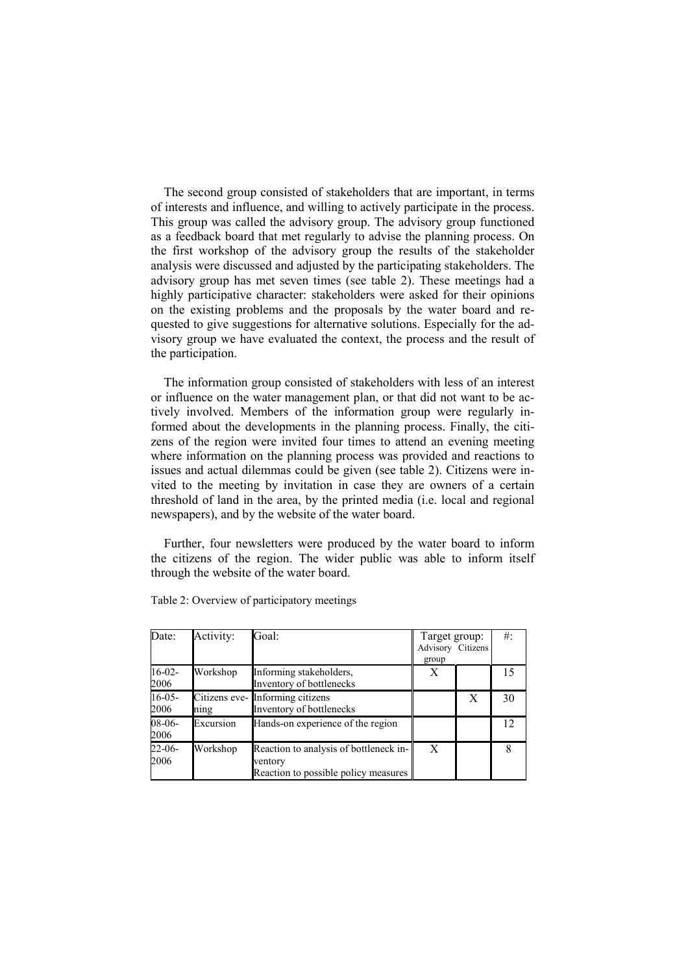The second group consisted of stakeholders that are important, in terms of interests and influence, and willing to actively participate in the process. This group was called the advisory group. The advisory group functioned as a feedback board that met regularly to advise the planning process. On the first workshop of the advisory group the results of the stakeholder analysis were discussed and adjusted by the participating stakeholders. The advisory group has met seven times (see table 2). These meetings had a highly participative character: stakeholders were asked for their opinions on the existing problems and the proposals by the water board and requested to give suggestions for alternative solutions. Especially for the advisory group we have evaluated the context, the process and the result of the participation.

The information group consisted of stakeholders with less of an interest or influence on the water management plan, or that did not want to be actively involved. Members of the information group were regularly informed about the developments in the planning process. Finally, the citizens of the region were invited four times to attend an evening meeting where information on the planning process was provided and reactions to issues and actual dilemmas could be given (see table 2). Citizens were invited to the meeting by invitation in case they are owners of a certain threshold of land in the area, by the printed media (i.e. local and regional newspapers), and by the website of the water board.

Further, four newsletters were produced by the water board to inform the citizens of the region. The wider public was able to inform itself through the website of the water board.

| Date:               | Activity: | Goal:                                                                                     | Target group:<br>Advisory Citizens<br>group |   | $#$ : |
|---------------------|-----------|-------------------------------------------------------------------------------------------|---------------------------------------------|---|-------|
| $16-02-$<br>2006    | Workshop  | Informing stakeholders,<br>Inventory of bottlenecks                                       | X                                           |   | 15    |
| $16-05-$<br>2006    | nıng      | Citizens eve- Informing citizens<br>Inventory of bottlenecks                              |                                             | X | 30    |
| $08-06-$<br>2006    | Excursion | Hands-on experience of the region                                                         |                                             |   | 12.   |
| $22 - 06 -$<br>2006 | Workshop  | Reaction to analysis of bottleneck in-<br>ventory<br>Reaction to possible policy measures | X                                           |   |       |

Table 2: Overview of participatory meetings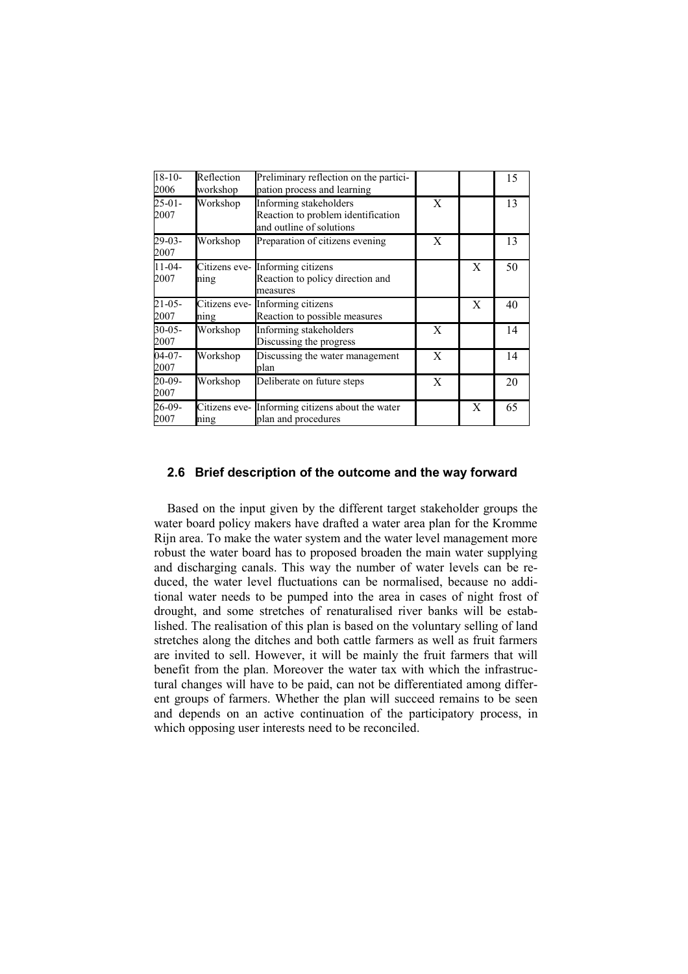| $18-10-$<br>2006    | Reflection<br>workshop | Preliminary reflection on the partici-<br>pation process and learning                    |   |   | 15 |
|---------------------|------------------------|------------------------------------------------------------------------------------------|---|---|----|
| $25-01-$<br>2007    | Workshop               | Informing stakeholders<br>Reaction to problem identification<br>and outline of solutions | X |   | 13 |
| $29-03-$<br>2007    | Workshop               | Preparation of citizens evening                                                          | X |   | 13 |
| $11-04-$<br>2007    | Citizens eve-<br>ning  | Informing citizens<br>Reaction to policy direction and<br>measures                       |   | X | 50 |
| $21 - 05 -$<br>2007 | Citizens eve-<br>ning  | Informing citizens<br>Reaction to possible measures                                      |   | X | 40 |
| $30 - 05 -$<br>2007 | Workshop               | Informing stakeholders<br>Discussing the progress                                        | X |   | 14 |
| $04-07-$<br>2007    | Workshop               | Discussing the water management<br>plan                                                  | X |   | 14 |
| 20-09-<br>2007      | Workshop               | Deliberate on future steps                                                               | X |   | 20 |
| 26-09-<br>2007      | Citizens eve-<br>ning  | Informing citizens about the water<br>plan and procedures                                |   | X | 65 |

### 2.6 Brief description of the outcome and the way forward

Based on the input given by the different target stakeholder groups the water board policy makers have drafted a water area plan for the Kromme Rijn area. To make the water system and the water level management more robust the water board has to proposed broaden the main water supplying and discharging canals. This way the number of water levels can be reduced, the water level fluctuations can be normalised, because no additional water needs to be pumped into the area in cases of night frost of drought, and some stretches of renaturalised river banks will be established. The realisation of this plan is based on the voluntary selling of land stretches along the ditches and both cattle farmers as well as fruit farmers are invited to sell. However, it will be mainly the fruit farmers that will benefit from the plan. Moreover the water tax with which the infrastructural changes will have to be paid, can not be differentiated among different groups of farmers. Whether the plan will succeed remains to be seen and depends on an active continuation of the participatory process, in which opposing user interests need to be reconciled.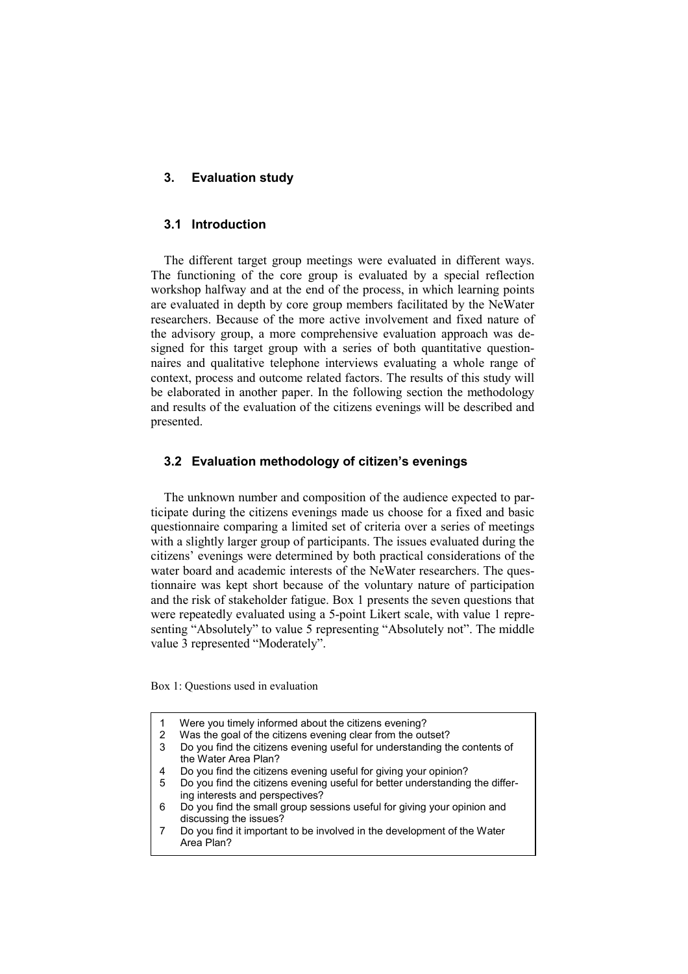### 3. Evaluation study

### 3.1 Introduction

The different target group meetings were evaluated in different ways. The functioning of the core group is evaluated by a special reflection workshop halfway and at the end of the process, in which learning points are evaluated in depth by core group members facilitated by the NeWater researchers. Because of the more active involvement and fixed nature of the advisory group, a more comprehensive evaluation approach was designed for this target group with a series of both quantitative questionnaires and qualitative telephone interviews evaluating a whole range of context, process and outcome related factors. The results of this study will be elaborated in another paper. In the following section the methodology and results of the evaluation of the citizens evenings will be described and presented.

### 3.2 Evaluation methodology of citizen's evenings

The unknown number and composition of the audience expected to participate during the citizens evenings made us choose for a fixed and basic questionnaire comparing a limited set of criteria over a series of meetings with a slightly larger group of participants. The issues evaluated during the citizens' evenings were determined by both practical considerations of the water board and academic interests of the NeWater researchers. The questionnaire was kept short because of the voluntary nature of participation and the risk of stakeholder fatigue. Box 1 presents the seven questions that were repeatedly evaluated using a 5-point Likert scale, with value 1 representing "Absolutely" to value 5 representing "Absolutely not". The middle value 3 represented "Moderately".

Box 1: Questions used in evaluation

|  | Were you timely informed about the citizens evening? |
|--|------------------------------------------------------|
|--|------------------------------------------------------|

- 2 Was the goal of the citizens evening clear from the outset?
- 3 Do you find the citizens evening useful for understanding the contents of the Water Area Plan?
- 4 Do you find the citizens evening useful for giving your opinion?
- 5 Do you find the citizens evening useful for better understanding the differing interests and perspectives?
- 6 Do you find the small group sessions useful for giving your opinion and discussing the issues?
- 7 Do you find it important to be involved in the development of the Water Area Plan?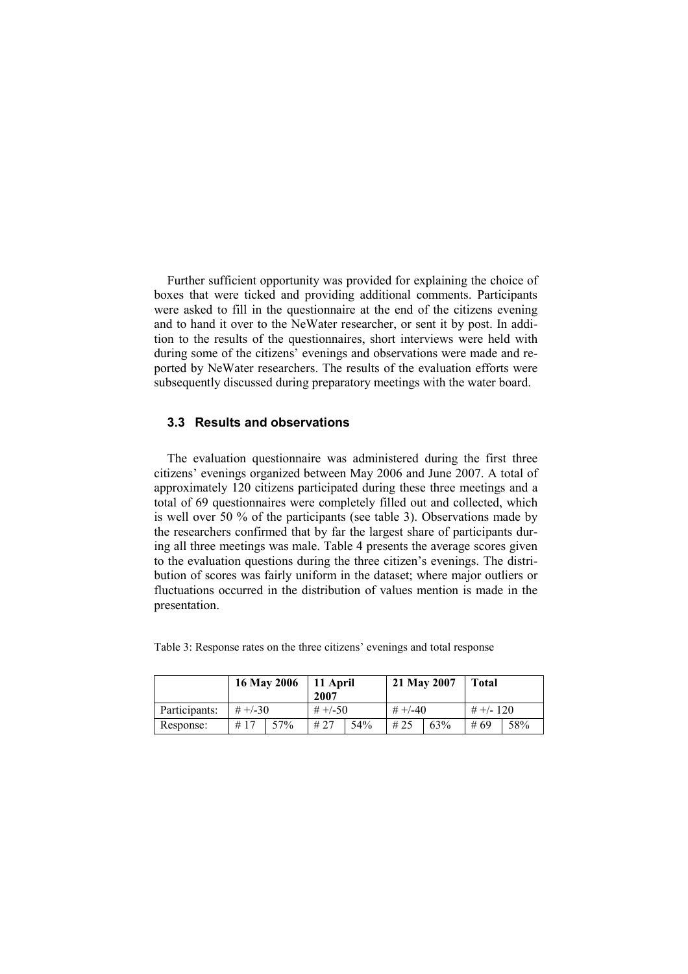Further sufficient opportunity was provided for explaining the choice of boxes that were ticked and providing additional comments. Participants were asked to fill in the questionnaire at the end of the citizens evening and to hand it over to the NeWater researcher, or sent it by post. In addition to the results of the questionnaires, short interviews were held with during some of the citizens' evenings and observations were made and reported by NeWater researchers. The results of the evaluation efforts were subsequently discussed during preparatory meetings with the water board.

#### 3.3 Results and observations

The evaluation questionnaire was administered during the first three citizens' evenings organized between May 2006 and June 2007. A total of approximately 120 citizens participated during these three meetings and a total of 69 questionnaires were completely filled out and collected, which is well over 50 % of the participants (see table 3). Observations made by the researchers confirmed that by far the largest share of participants during all three meetings was male. Table 4 presents the average scores given to the evaluation questions during the three citizen's evenings. The distribution of scores was fairly uniform in the dataset; where major outliers or fluctuations occurred in the distribution of values mention is made in the presentation.

Table 3: Response rates on the three citizens' evenings and total response

|               | 16 May 2006 |     | 11 April<br>2007 |     | 21 May 2007  |     | <b>Total</b> |     |
|---------------|-------------|-----|------------------|-----|--------------|-----|--------------|-----|
| Participants: | $# +/-30$   |     | $# +/-50$        |     | $\# +1 - 40$ |     | $# +/- 120$  |     |
| Response:     | #17         | 57% | #27              | 54% | #25          | 63% | #69          | 58% |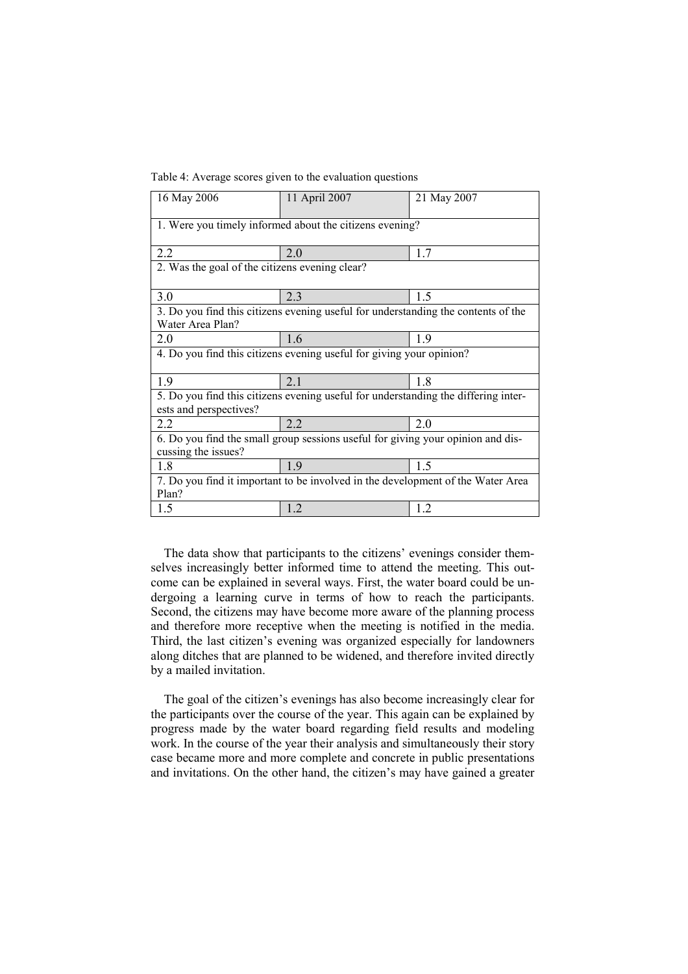Table 4: Average scores given to the evaluation questions

| 16 May 2006                                                                                                  | 11 April 2007 | 21 May 2007 |  |  |  |
|--------------------------------------------------------------------------------------------------------------|---------------|-------------|--|--|--|
| 1. Were you timely informed about the citizens evening?                                                      |               |             |  |  |  |
| 2.2                                                                                                          | 2.0           | 1.7         |  |  |  |
| 2. Was the goal of the citizens evening clear?                                                               |               |             |  |  |  |
| 3.0                                                                                                          | 2.3           | 1.5         |  |  |  |
| 3. Do you find this citizens evening useful for understanding the contents of the<br>Water Area Plan?        |               |             |  |  |  |
| 2.0                                                                                                          | 1.6           | 1.9         |  |  |  |
| 4. Do you find this citizens evening useful for giving your opinion?                                         |               |             |  |  |  |
| 1.9                                                                                                          | 2.1           | 1.8         |  |  |  |
| 5. Do you find this citizens evening useful for understanding the differing inter-<br>ests and perspectives? |               |             |  |  |  |
| 2.2                                                                                                          | 2.2           | 2.0         |  |  |  |
| 6. Do you find the small group sessions useful for giving your opinion and dis-<br>cussing the issues?       |               |             |  |  |  |
| 1.8                                                                                                          | 1.9           | 1.5         |  |  |  |
| 7. Do you find it important to be involved in the development of the Water Area<br>Plan?                     |               |             |  |  |  |
| 1.5                                                                                                          | 1.2           | 1.2         |  |  |  |

The data show that participants to the citizens' evenings consider themselves increasingly better informed time to attend the meeting. This outcome can be explained in several ways. First, the water board could be undergoing a learning curve in terms of how to reach the participants. Second, the citizens may have become more aware of the planning process and therefore more receptive when the meeting is notified in the media. Third, the last citizen's evening was organized especially for landowners along ditches that are planned to be widened, and therefore invited directly by a mailed invitation.

The goal of the citizen's evenings has also become increasingly clear for the participants over the course of the year. This again can be explained by progress made by the water board regarding field results and modeling work. In the course of the year their analysis and simultaneously their story case became more and more complete and concrete in public presentations and invitations. On the other hand, the citizen's may have gained a greater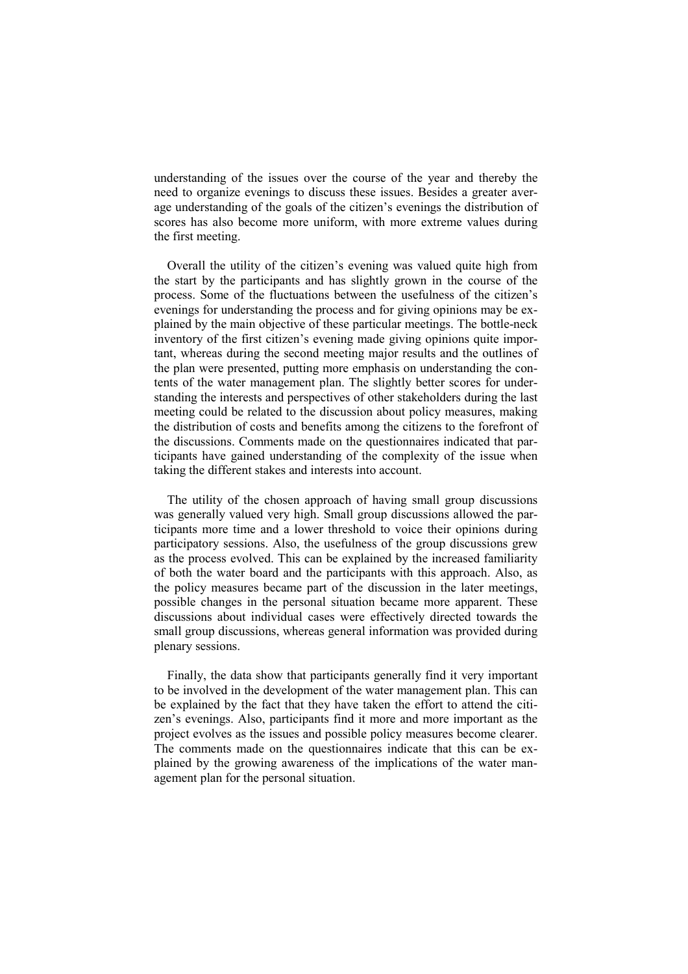understanding of the issues over the course of the year and thereby the need to organize evenings to discuss these issues. Besides a greater average understanding of the goals of the citizen's evenings the distribution of scores has also become more uniform, with more extreme values during the first meeting.

Overall the utility of the citizen's evening was valued quite high from the start by the participants and has slightly grown in the course of the process. Some of the fluctuations between the usefulness of the citizen's evenings for understanding the process and for giving opinions may be explained by the main objective of these particular meetings. The bottle-neck inventory of the first citizen's evening made giving opinions quite important, whereas during the second meeting major results and the outlines of the plan were presented, putting more emphasis on understanding the contents of the water management plan. The slightly better scores for understanding the interests and perspectives of other stakeholders during the last meeting could be related to the discussion about policy measures, making the distribution of costs and benefits among the citizens to the forefront of the discussions. Comments made on the questionnaires indicated that participants have gained understanding of the complexity of the issue when taking the different stakes and interests into account.

The utility of the chosen approach of having small group discussions was generally valued very high. Small group discussions allowed the participants more time and a lower threshold to voice their opinions during participatory sessions. Also, the usefulness of the group discussions grew as the process evolved. This can be explained by the increased familiarity of both the water board and the participants with this approach. Also, as the policy measures became part of the discussion in the later meetings, possible changes in the personal situation became more apparent. These discussions about individual cases were effectively directed towards the small group discussions, whereas general information was provided during plenary sessions.

Finally, the data show that participants generally find it very important to be involved in the development of the water management plan. This can be explained by the fact that they have taken the effort to attend the citizen's evenings. Also, participants find it more and more important as the project evolves as the issues and possible policy measures become clearer. The comments made on the questionnaires indicate that this can be explained by the growing awareness of the implications of the water management plan for the personal situation.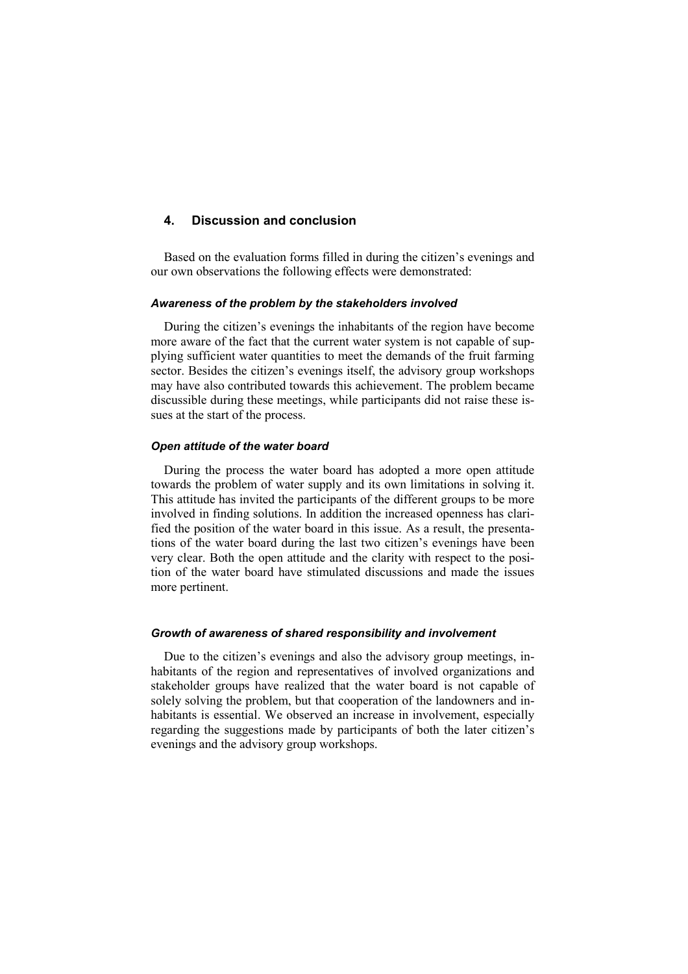## 4. Discussion and conclusion

Based on the evaluation forms filled in during the citizen's evenings and our own observations the following effects were demonstrated:

#### Awareness of the problem by the stakeholders involved

During the citizen's evenings the inhabitants of the region have become more aware of the fact that the current water system is not capable of supplying sufficient water quantities to meet the demands of the fruit farming sector. Besides the citizen's evenings itself, the advisory group workshops may have also contributed towards this achievement. The problem became discussible during these meetings, while participants did not raise these issues at the start of the process.

#### Open attitude of the water board

During the process the water board has adopted a more open attitude towards the problem of water supply and its own limitations in solving it. This attitude has invited the participants of the different groups to be more involved in finding solutions. In addition the increased openness has clarified the position of the water board in this issue. As a result, the presentations of the water board during the last two citizen's evenings have been very clear. Both the open attitude and the clarity with respect to the position of the water board have stimulated discussions and made the issues more pertinent.

#### Growth of awareness of shared responsibility and involvement

Due to the citizen's evenings and also the advisory group meetings, inhabitants of the region and representatives of involved organizations and stakeholder groups have realized that the water board is not capable of solely solving the problem, but that cooperation of the landowners and inhabitants is essential. We observed an increase in involvement, especially regarding the suggestions made by participants of both the later citizen's evenings and the advisory group workshops.